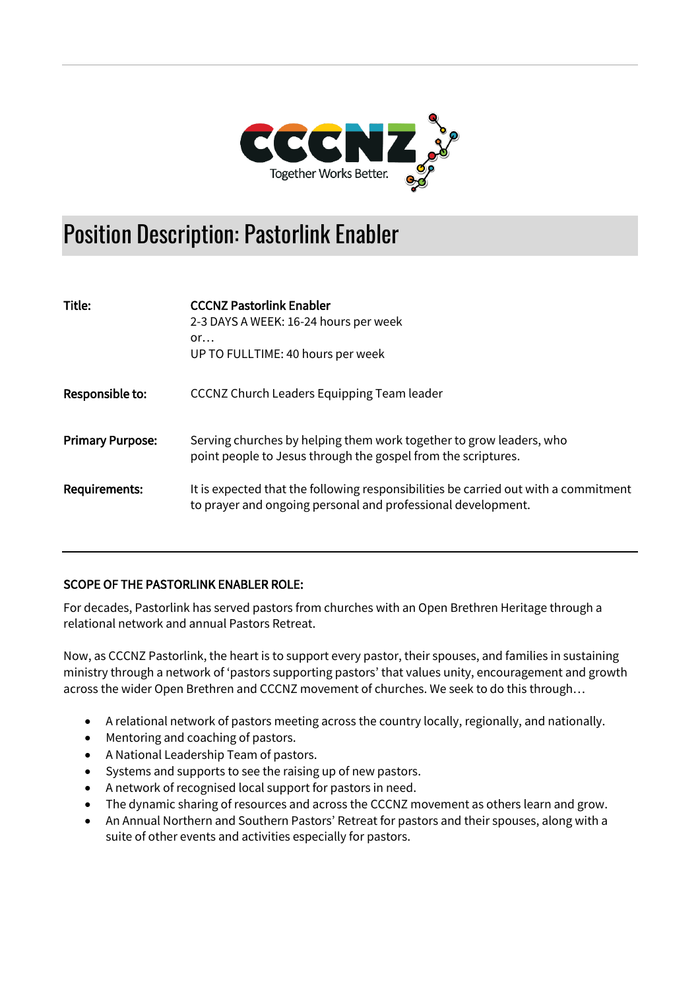

# Position Description: Pastorlink Enabler

| Title:                  | <b>CCCNZ Pastorlink Enabler</b><br>2-3 DAYS A WEEK: 16-24 hours per week<br>or<br>UP TO FULLTIME: 40 hours per week                                 |
|-------------------------|-----------------------------------------------------------------------------------------------------------------------------------------------------|
| Responsible to:         | CCCNZ Church Leaders Equipping Team leader                                                                                                          |
| <b>Primary Purpose:</b> | Serving churches by helping them work together to grow leaders, who<br>point people to Jesus through the gospel from the scriptures.                |
| <b>Requirements:</b>    | It is expected that the following responsibilities be carried out with a commitment<br>to prayer and ongoing personal and professional development. |

## SCOPE OF THE PASTORLINK ENABLER ROLE:

For decades, Pastorlink has served pastors from churches with an Open Brethren Heritage through a relational network and annual Pastors Retreat.

Now, as CCCNZ Pastorlink, the heart is to support every pastor, their spouses, and families in sustaining ministry through a network of 'pastors supporting pastors' that values unity, encouragement and growth across the wider Open Brethren and CCCNZ movement of churches. We seek to do this through…

- A relational network of pastors meeting across the country locally, regionally, and nationally.
- Mentoring and coaching of pastors.
- A National Leadership Team of pastors.
- Systems and supports to see the raising up of new pastors.
- A network of recognised local support for pastors in need.
- The dynamic sharing of resources and across the CCCNZ movement as others learn and grow.
- An Annual Northern and Southern Pastors' Retreat for pastors and their spouses, along with a suite of other events and activities especially for pastors.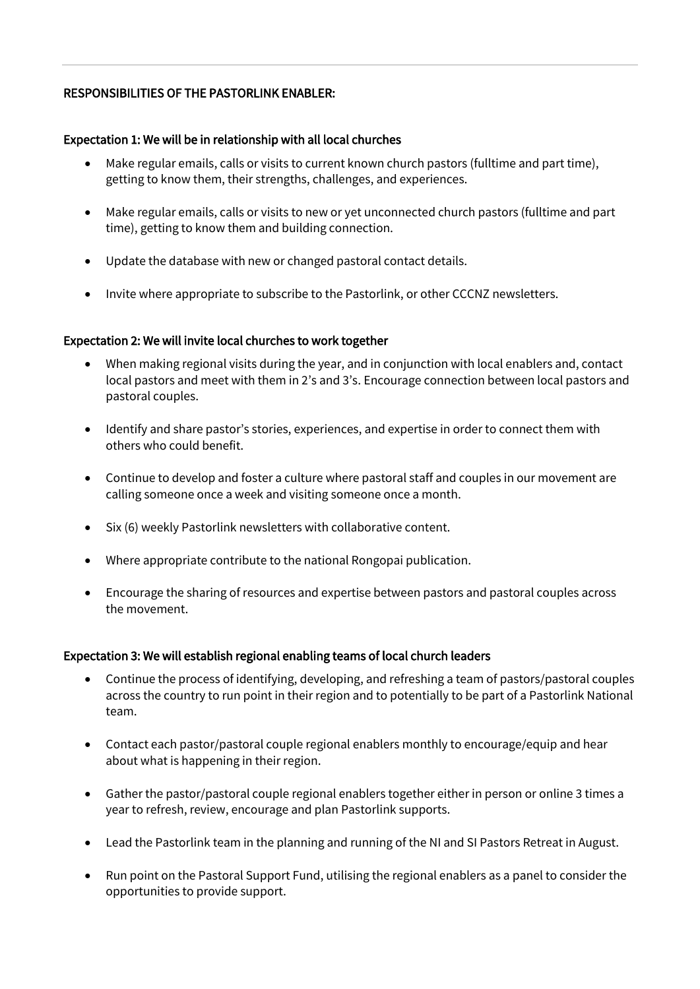#### RESPONSIBILITIES OF THE PASTORLINK ENABLER:

#### Expectation 1: We will be in relationship with all local churches

- Make regular emails, calls or visits to current known church pastors (fulltime and part time), getting to know them, their strengths, challenges, and experiences.
- Make regular emails, calls or visits to new or yet unconnected church pastors (fulltime and part time), getting to know them and building connection.
- Update the database with new or changed pastoral contact details.
- Invite where appropriate to subscribe to the Pastorlink, or other CCCNZ newsletters.

#### Expectation 2: We will invite local churches to work together

- When making regional visits during the year, and in conjunction with local enablers and, contact local pastors and meet with them in 2's and 3's. Encourage connection between local pastors and pastoral couples.
- Identify and share pastor's stories, experiences, and expertise in order to connect them with others who could benefit.
- Continue to develop and foster a culture where pastoral staff and couples in our movement are calling someone once a week and visiting someone once a month.
- Six (6) weekly Pastorlink newsletters with collaborative content.
- Where appropriate contribute to the national Rongopai publication.
- Encourage the sharing of resources and expertise between pastors and pastoral couples across the movement.

#### Expectation 3: We will establish regional enabling teams of local church leaders

- Continue the process of identifying, developing, and refreshing a team of pastors/pastoral couples across the country to run point in their region and to potentially to be part of a Pastorlink National team.
- Contact each pastor/pastoral couple regional enablers monthly to encourage/equip and hear about what is happening in their region.
- Gather the pastor/pastoral couple regional enablers together either in person or online 3 times a year to refresh, review, encourage and plan Pastorlink supports.
- Lead the Pastorlink team in the planning and running of the NI and SI Pastors Retreat in August.
- Run point on the Pastoral Support Fund, utilising the regional enablers as a panel to consider the opportunities to provide support.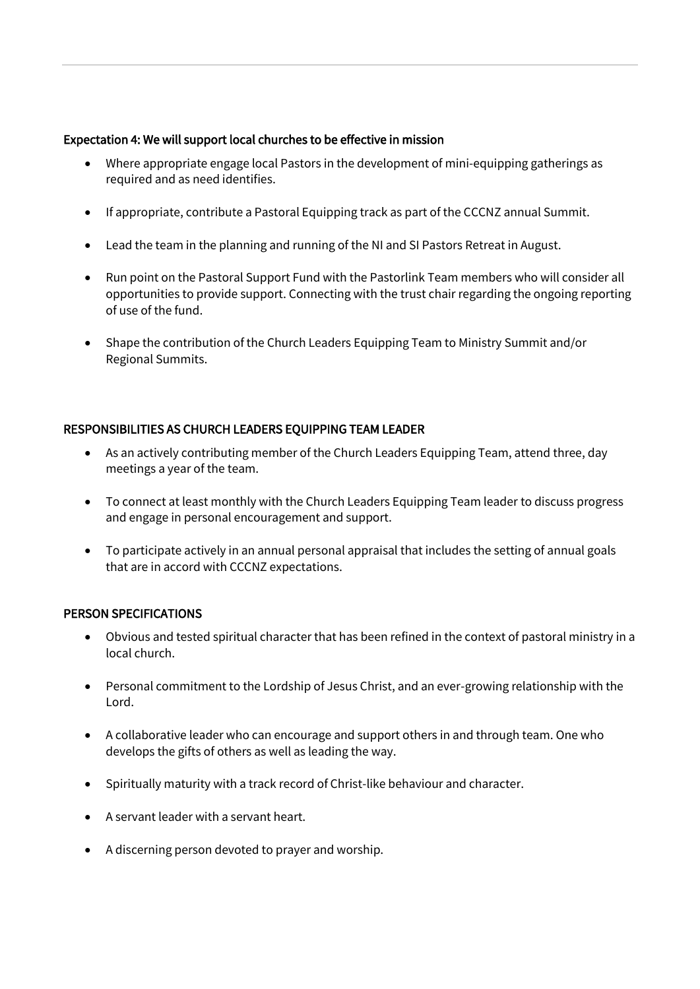#### Expectation 4: We will support local churches to be effective in mission

- Where appropriate engage local Pastors in the development of mini-equipping gatherings as required and as need identifies.
- If appropriate, contribute a Pastoral Equipping track as part of the CCCNZ annual Summit.
- Lead the team in the planning and running of the NI and SI Pastors Retreat in August.
- Run point on the Pastoral Support Fund with the Pastorlink Team members who will consider all opportunities to provide support. Connecting with the trust chair regarding the ongoing reporting of use of the fund.
- Shape the contribution of the Church Leaders Equipping Team to Ministry Summit and/or Regional Summits.

### RESPONSIBILITIES AS CHURCH LEADERS EQUIPPING TEAM LEADER

- As an actively contributing member of the Church Leaders Equipping Team, attend three, day meetings a year of the team.
- To connect at least monthly with the Church Leaders Equipping Team leader to discuss progress and engage in personal encouragement and support.
- To participate actively in an annual personal appraisal that includes the setting of annual goals that are in accord with CCCNZ expectations.

#### PERSON SPECIFICATIONS

- Obvious and tested spiritual character that has been refined in the context of pastoral ministry in a local church.
- Personal commitment to the Lordship of Jesus Christ, and an ever-growing relationship with the Lord.
- A collaborative leader who can encourage and support others in and through team. One who develops the gifts of others as well as leading the way.
- Spiritually maturity with a track record of Christ-like behaviour and character.
- A servant leader with a servant heart.
- A discerning person devoted to prayer and worship.